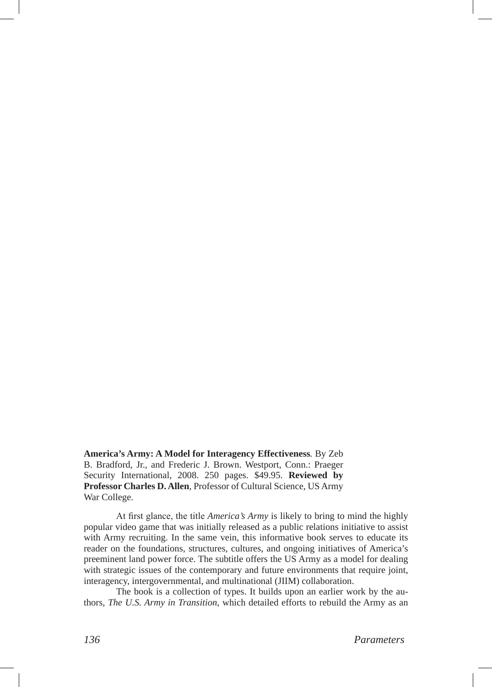**America's Army: A Model for Interagency Effectiveness***.* By Zeb B. Bradford, Jr., and Frederic J. Brown. Westport, Conn.: Praeger Security International, 2008. 250 pages. \$49.95. **Reviewed by Professor Charles D. Allen**, Professor of Cultural Science, US Army War College.

At first glance, the title *America's Army* is likely to bring to mind the highly popular video game that was initially released as a public relations initiative to assist with Army recruiting. In the same vein, this informative book serves to educate its reader on the foundations, structures, cultures, and ongoing initiatives of America's preeminent land power force. The subtitle offers the US Army as a model for dealing with strategic issues of the contemporary and future environments that require joint, interagency, intergovernmental, and multinational (JIIM) collaboration.

The book is a collection of types. It builds upon an earlier work by the authors, *The U.S. Army in Transition*, which detailed efforts to rebuild the Army as an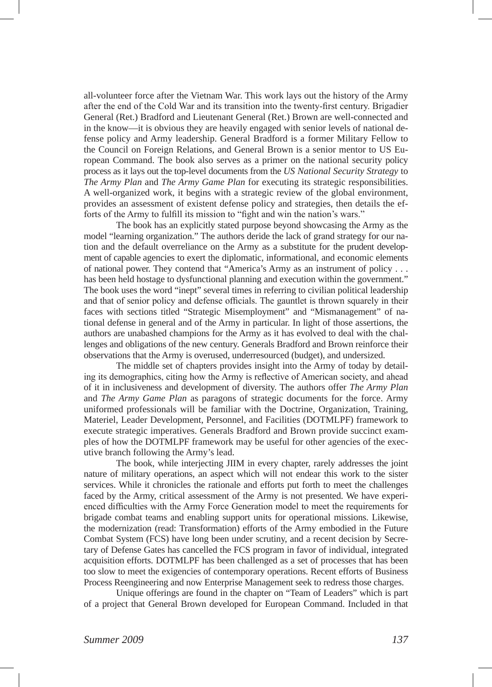all-volunteer force after the Vietnam War. This work lays out the history of the Army after the end of the Cold War and its transition into the twenty-first century. Brigadier General (Ret.) Bradford and Lieutenant General (Ret.) Brown are well-connected and in the know—it is obvious they are heavily engaged with senior levels of national defense policy and Army leadership. General Bradford is a former Military Fellow to the Council on Foreign Relations, and General Brown is a senior mentor to US European Command. The book also serves as a primer on the national security policy process as it lays out the top-level documents from the *US National Security Strategy* to *The Army Plan* and *The Army Game Plan* for executing its strategic responsibilities. A well-organized work, it begins with a strategic review of the global environment, provides an assessment of existent defense policy and strategies, then details the efforts of the Army to fulfill its mission to "fight and win the nation's wars."

The book has an explicitly stated purpose beyond showcasing the Army as the model "learning organization." The authors deride the lack of grand strategy for our nation and the default overreliance on the Army as a substitute for the prudent development of capable agencies to exert the diplomatic, informational, and economic elements of national power. They contend that "America's Army as an instrument of policy . . . has been held hostage to dysfunctional planning and execution within the government." The book uses the word "inept" several times in referring to civilian political leadership and that of senior policy and defense officials. The gauntlet is thrown squarely in their faces with sections titled "Strategic Misemployment" and "Mismanagement" of national defense in general and of the Army in particular. In light of those assertions, the authors are unabashed champions for the Army as it has evolved to deal with the challenges and obligations of the new century. Generals Bradford and Brown reinforce their observations that the Army is overused, underresourced (budget), and undersized.

The middle set of chapters provides insight into the Army of today by detailing its demographics, citing how the Army is reflective of American society, and ahead of it in inclusiveness and development of diversity. The authors offer *The Army Plan* and *The Army Game Plan* as paragons of strategic documents for the force. Army uniformed professionals will be familiar with the Doctrine, Organization, Training, Materiel, Leader Development, Personnel, and Facilities (DOTMLPF) framework to execute strategic imperatives. Generals Bradford and Brown provide succinct examples of how the DOTMLPF framework may be useful for other agencies of the executive branch following the Army's lead.

The book, while interjecting JIIM in every chapter, rarely addresses the joint nature of military operations, an aspect which will not endear this work to the sister services. While it chronicles the rationale and efforts put forth to meet the challenges faced by the Army, critical assessment of the Army is not presented. We have experienced difficulties with the Army Force Generation model to meet the requirements for brigade combat teams and enabling support units for operational missions. Likewise, the modernization (read: Transformation) efforts of the Army embodied in the Future Combat System (FCS) have long been under scrutiny, and a recent decision by Secretary of Defense Gates has cancelled the FCS program in favor of individual, integrated acquisition efforts. DOTMLPF has been challenged as a set of processes that has been too slow to meet the exigencies of contemporary operations. Recent efforts of Business Process Reengineering and now Enterprise Management seek to redress those charges.

Unique offerings are found in the chapter on "Team of Leaders" which is part of a project that General Brown developed for European Command. Included in that